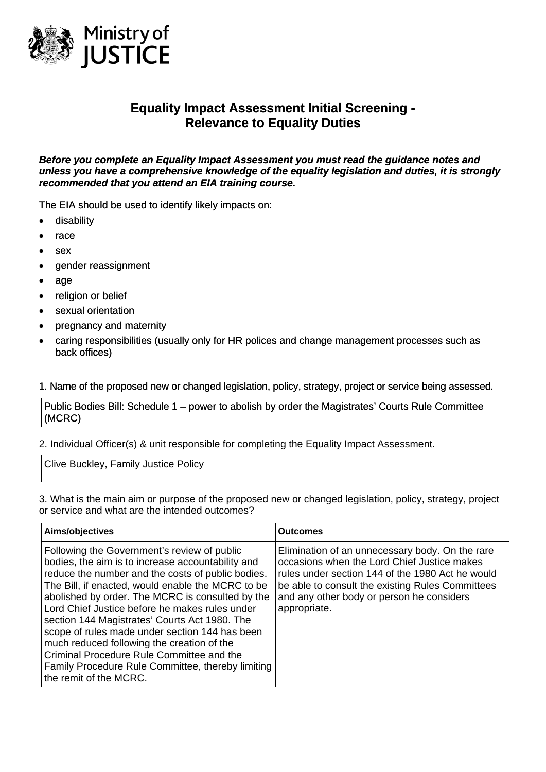

## **Equality Impact Assessment Initial Screening - Relevance to Equality Duties**

*Before you complete an Equality Impact Assessment you must read the guidance notes and unless you have a comprehensive knowledge of the equality legislation and duties, it is strongly recommended that you attend an EIA training course.* 

The EIA should be used to identify likely impacts on:

- disability
- race
- sex
- gender reassignment
- age
- religion or belief
- sexual orientation
- pregnancy and maternity
- caring responsibilities (usually only for HR polices and change management processes such as back offices)

## 1. Name of the proposed new or changed legislation, policy, strategy, project or service being assessed.

Public Bodies Bill: Schedule 1 – power to abolish by order the Magistrates' Courts Rule Committee (MCRC)

2. Individual Officer(s) & unit responsible for completing the Equality Impact Assessment.

Clive Buckley, Family Justice Policy

3. What is the main aim or purpose of the proposed new or changed legislation, policy, strategy, project or service and what are the intended outcomes?

| Aims/objectives                                                                                                                                                                                                                                                                                                                                                                                                                                                                                                                                                                                      | <b>Outcomes</b>                                                                                                                                                                                                                                                     |
|------------------------------------------------------------------------------------------------------------------------------------------------------------------------------------------------------------------------------------------------------------------------------------------------------------------------------------------------------------------------------------------------------------------------------------------------------------------------------------------------------------------------------------------------------------------------------------------------------|---------------------------------------------------------------------------------------------------------------------------------------------------------------------------------------------------------------------------------------------------------------------|
| Following the Government's review of public<br>bodies, the aim is to increase accountability and<br>reduce the number and the costs of public bodies.<br>The Bill, if enacted, would enable the MCRC to be<br>abolished by order. The MCRC is consulted by the<br>Lord Chief Justice before he makes rules under<br>section 144 Magistrates' Courts Act 1980. The<br>scope of rules made under section 144 has been<br>much reduced following the creation of the<br>Criminal Procedure Rule Committee and the<br><b>Family Procedure Rule Committee, thereby limiting</b><br>the remit of the MCRC. | Elimination of an unnecessary body. On the rare<br>occasions when the Lord Chief Justice makes<br>rules under section 144 of the 1980 Act he would<br>be able to consult the existing Rules Committees<br>and any other body or person he considers<br>appropriate. |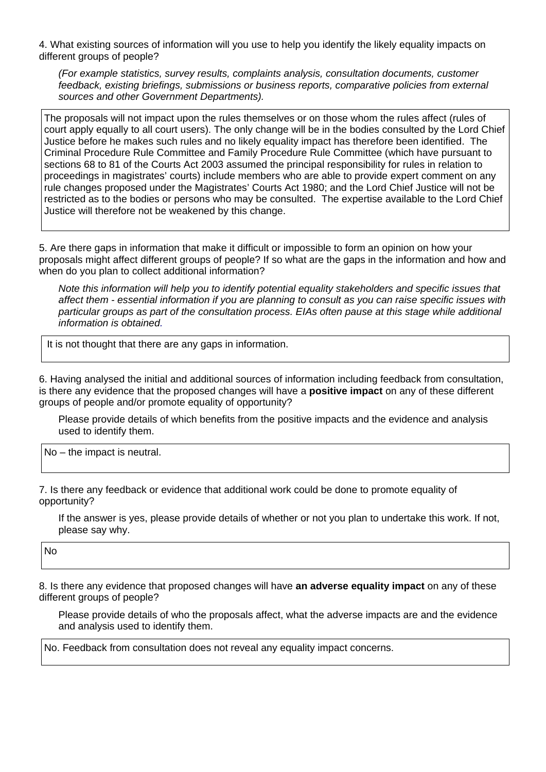4. What existing sources of information will you use to help you identify the likely equality impacts on different groups of people?

*(For example statistics, survey results, complaints analysis, consultation documents, customer feedback, existing briefings, submissions or business reports, comparative policies from external sources and other Government Departments).* 

The proposals will not impact upon the rules themselves or on those whom the rules affect (rules of court apply equally to all court users). The only change will be in the bodies consulted by the Lord Chief Justice before he makes such rules and no likely equality impact has therefore been identified. The Criminal Procedure Rule Committee and Family Procedure Rule Committee (which have pursuant to sections 68 to 81 of the Courts Act 2003 assumed the principal responsibility for rules in relation to proceedings in magistrates' courts) include members who are able to provide expert comment on any rule changes proposed under the Magistrates' Courts Act 1980; and the Lord Chief Justice will not be restricted as to the bodies or persons who may be consulted. The expertise available to the Lord Chief Justice will therefore not be weakened by this change.

5. Are there gaps in information that make it difficult or impossible to form an opinion on how your proposals might affect different groups of people? If so what are the gaps in the information and how and when do you plan to collect additional information?

*Note this information will help you to identify potential equality stakeholders and specific issues that affect them - essential information if you are planning to consult as you can raise specific issues with particular groups as part of the consultation process. EIAs often pause at this stage while additional information is obtained.*

It is not thought that there are any gaps in information.

6. Having analysed the initial and additional sources of information including feedback from consultation, is there any evidence that the proposed changes will have a **positive impact** on any of these different groups of people and/or promote equality of opportunity?

Please provide details of which benefits from the positive impacts and the evidence and analysis used to identify them.

No – the impact is neutral.

7. Is there any feedback or evidence that additional work could be done to promote equality of opportunity?

If the answer is yes, please provide details of whether or not you plan to undertake this work. If not, please say why.

No

8. Is there any evidence that proposed changes will have **an adverse equality impact** on any of these different groups of people?

Please provide details of who the proposals affect, what the adverse impacts are and the evidence and analysis used to identify them.

No. Feedback from consultation does not reveal any equality impact concerns.